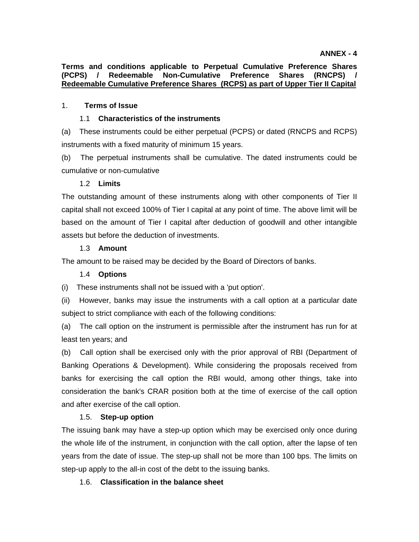**Terms and conditions applicable to Perpetual Cumulative Preference Shares (PCPS) / Redeemable Non-Cumulative Preference Shares (RNCPS) / Redeemable Cumulative Preference Shares (RCPS) as part of Upper Tier II Capital**

## 1. **Terms of Issue**

### 1.1 **Characteristics of the instruments**

(a) These instruments could be either perpetual (PCPS) or dated (RNCPS and RCPS) instruments with a fixed maturity of minimum 15 years.

(b) The perpetual instruments shall be cumulative. The dated instruments could be cumulative or non-cumulative

### 1.2 **Limits**

The outstanding amount of these instruments along with other components of Tier II capital shall not exceed 100% of Tier I capital at any point of time. The above limit will be based on the amount of Tier I capital after deduction of goodwill and other intangible assets but before the deduction of investments.

### 1.3 **Amount**

The amount to be raised may be decided by the Board of Directors of banks.

#### 1.4 **Options**

(i) These instruments shall not be issued with a 'put option'.

(ii) However, banks may issue the instruments with a call option at a particular date subject to strict compliance with each of the following conditions:

(a) The call option on the instrument is permissible after the instrument has run for at least ten years; and

(b) Call option shall be exercised only with the prior approval of RBI (Department of Banking Operations & Development). While considering the proposals received from banks for exercising the call option the RBI would, among other things, take into consideration the bank's CRAR position both at the time of exercise of the call option and after exercise of the call option.

#### 1.5. **Step-up option**

The issuing bank may have a step-up option which may be exercised only once during the whole life of the instrument, in conjunction with the call option, after the lapse of ten years from the date of issue. The step-up shall not be more than 100 bps. The limits on step-up apply to the all-in cost of the debt to the issuing banks.

## 1.6. **Classification in the balance sheet**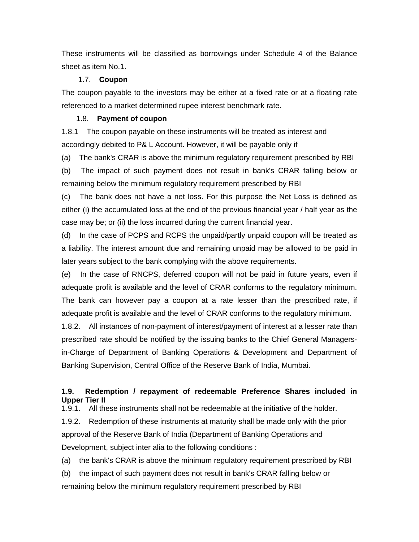These instruments will be classified as borrowings under Schedule 4 of the Balance sheet as item No.1.

### 1.7. **Coupon**

The coupon payable to the investors may be either at a fixed rate or at a floating rate referenced to a market determined rupee interest benchmark rate.

## 1.8. **Payment of coupon**

1.8.1 The coupon payable on these instruments will be treated as interest and accordingly debited to P& L Account. However, it will be payable only if

(a) The bank's CRAR is above the minimum regulatory requirement prescribed by RBI

(b) The impact of such payment does not result in bank's CRAR falling below or remaining below the minimum regulatory requirement prescribed by RBI

(c) The bank does not have a net loss. For this purpose the Net Loss is defined as either (i) the accumulated loss at the end of the previous financial year / half year as the case may be; or (ii) the loss incurred during the current financial year.

(d) In the case of PCPS and RCPS the unpaid/partly unpaid coupon will be treated as a liability. The interest amount due and remaining unpaid may be allowed to be paid in later years subject to the bank complying with the above requirements.

(e) In the case of RNCPS, deferred coupon will not be paid in future years, even if adequate profit is available and the level of CRAR conforms to the regulatory minimum. The bank can however pay a coupon at a rate lesser than the prescribed rate, if adequate profit is available and the level of CRAR conforms to the regulatory minimum.

1.8.2. All instances of non-payment of interest/payment of interest at a lesser rate than prescribed rate should be notified by the issuing banks to the Chief General Managersin-Charge of Department of Banking Operations & Development and Department of Banking Supervision, Central Office of the Reserve Bank of India, Mumbai.

# **1.9. Redemption / repayment of redeemable Preference Shares included in Upper Tier II**

1.9.1. All these instruments shall not be redeemable at the initiative of the holder.

1.9.2. Redemption of these instruments at maturity shall be made only with the prior approval of the Reserve Bank of India (Department of Banking Operations and Development, subject inter alia to the following conditions :

(a) the bank's CRAR is above the minimum regulatory requirement prescribed by RBI

(b) the impact of such payment does not result in bank's CRAR falling below or remaining below the minimum regulatory requirement prescribed by RBI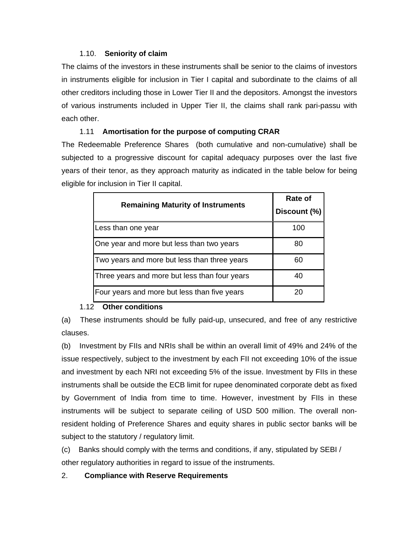## 1.10. **Seniority of claim**

The claims of the investors in these instruments shall be senior to the claims of investors in instruments eligible for inclusion in Tier I capital and subordinate to the claims of all other creditors including those in Lower Tier II and the depositors. Amongst the investors of various instruments included in Upper Tier II, the claims shall rank pari-passu with each other.

# 1.11 **Amortisation for the purpose of computing CRAR**

The Redeemable Preference Shares (both cumulative and non-cumulative) shall be subjected to a progressive discount for capital adequacy purposes over the last five years of their tenor, as they approach maturity as indicated in the table below for being eligible for inclusion in Tier II capital.

| <b>Remaining Maturity of Instruments</b>      | Rate of<br>Discount (%) |
|-----------------------------------------------|-------------------------|
| Less than one year                            | 100                     |
| One year and more but less than two years     | 80                      |
| Two years and more but less than three years  | 60                      |
| Three years and more but less than four years | 40                      |
| Four years and more but less than five years  | 20                      |

# 1.12 **Other conditions**

(a) These instruments should be fully paid-up, unsecured, and free of any restrictive clauses.

(b) Investment by FIIs and NRIs shall be within an overall limit of 49% and 24% of the issue respectively, subject to the investment by each FII not exceeding 10% of the issue and investment by each NRI not exceeding 5% of the issue. Investment by FIIs in these instruments shall be outside the ECB limit for rupee denominated corporate debt as fixed by Government of India from time to time. However, investment by FIIs in these instruments will be subject to separate ceiling of USD 500 million. The overall nonresident holding of Preference Shares and equity shares in public sector banks will be subject to the statutory / regulatory limit.

(c) Banks should comply with the terms and conditions, if any, stipulated by SEBI /

other regulatory authorities in regard to issue of the instruments.

# 2. **Compliance with Reserve Requirements**